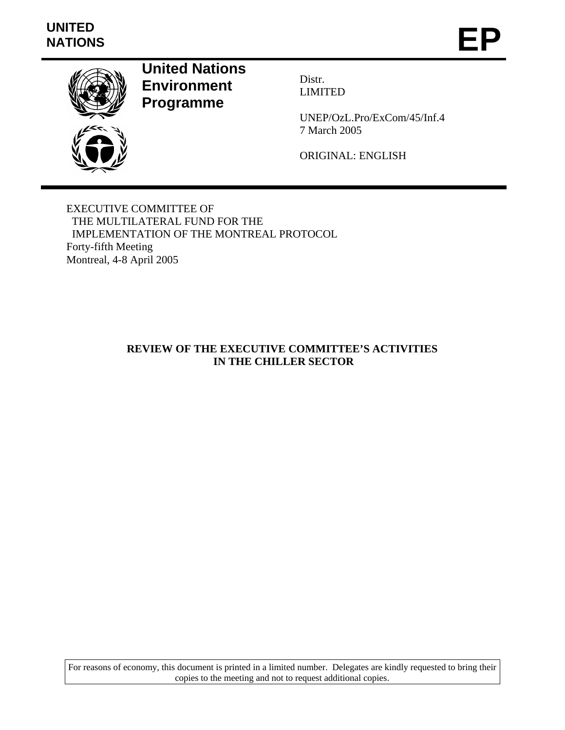# **UNITED**  UNITED<br>NATIONS **EP**



**United Nations Environment Programme** 

Distr. LIMITED

UNEP/OzL.Pro/ExCom/45/Inf.4 7 March 2005

ORIGINAL: ENGLISH

EXECUTIVE COMMITTEE OF THE MULTILATERAL FUND FOR THE IMPLEMENTATION OF THE MONTREAL PROTOCOL Forty-fifth Meeting Montreal, 4-8 April 2005

# **REVIEW OF THE EXECUTIVE COMMITTEE'S ACTIVITIES IN THE CHILLER SECTOR**

For reasons of economy, this document is printed in a limited number. Delegates are kindly requested to bring their copies to the meeting and not to request additional copies.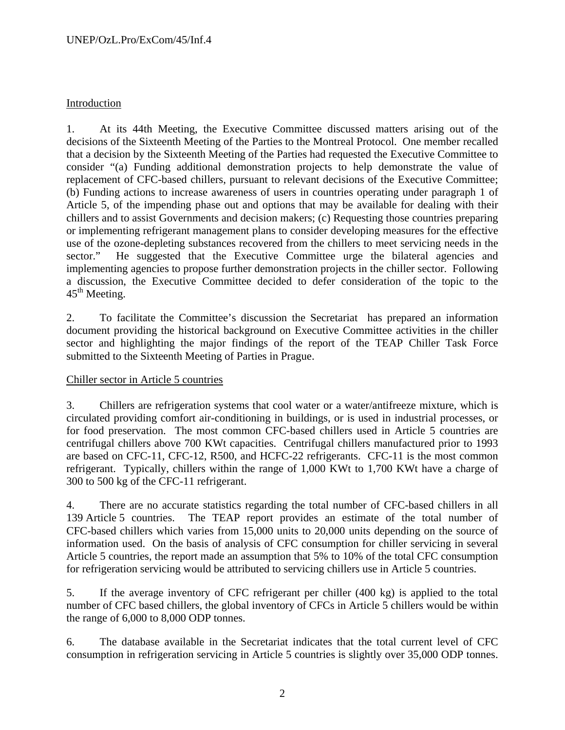# Introduction

1. At its 44th Meeting, the Executive Committee discussed matters arising out of the decisions of the Sixteenth Meeting of the Parties to the Montreal Protocol. One member recalled that a decision by the Sixteenth Meeting of the Parties had requested the Executive Committee to consider "(a) Funding additional demonstration projects to help demonstrate the value of replacement of CFC-based chillers, pursuant to relevant decisions of the Executive Committee; (b) Funding actions to increase awareness of users in countries operating under paragraph 1 of Article 5, of the impending phase out and options that may be available for dealing with their chillers and to assist Governments and decision makers; (c) Requesting those countries preparing or implementing refrigerant management plans to consider developing measures for the effective use of the ozone-depleting substances recovered from the chillers to meet servicing needs in the sector." He suggested that the Executive Committee urge the bilateral agencies and implementing agencies to propose further demonstration projects in the chiller sector. Following a discussion, the Executive Committee decided to defer consideration of the topic to the  $45<sup>th</sup>$  Meeting.

2. To facilitate the Committee's discussion the Secretariat has prepared an information document providing the historical background on Executive Committee activities in the chiller sector and highlighting the major findings of the report of the TEAP Chiller Task Force submitted to the Sixteenth Meeting of Parties in Prague.

# Chiller sector in Article 5 countries

3. Chillers are refrigeration systems that cool water or a water/antifreeze mixture, which is circulated providing comfort air-conditioning in buildings, or is used in industrial processes, or for food preservation. The most common CFC-based chillers used in Article 5 countries are centrifugal chillers above 700 KWt capacities. Centrifugal chillers manufactured prior to 1993 are based on CFC-11, CFC-12, R500, and HCFC-22 refrigerants. CFC-11 is the most common refrigerant. Typically, chillers within the range of 1,000 KWt to 1,700 KWt have a charge of 300 to 500 kg of the CFC-11 refrigerant.

4. There are no accurate statistics regarding the total number of CFC-based chillers in all 139 Article 5 countries. The TEAP report provides an estimate of the total number of CFC-based chillers which varies from 15,000 units to 20,000 units depending on the source of information used. On the basis of analysis of CFC consumption for chiller servicing in several Article 5 countries, the report made an assumption that 5% to 10% of the total CFC consumption for refrigeration servicing would be attributed to servicing chillers use in Article 5 countries.

5. If the average inventory of CFC refrigerant per chiller (400 kg) is applied to the total number of CFC based chillers, the global inventory of CFCs in Article 5 chillers would be within the range of 6,000 to 8,000 ODP tonnes.

6. The database available in the Secretariat indicates that the total current level of CFC consumption in refrigeration servicing in Article 5 countries is slightly over 35,000 ODP tonnes.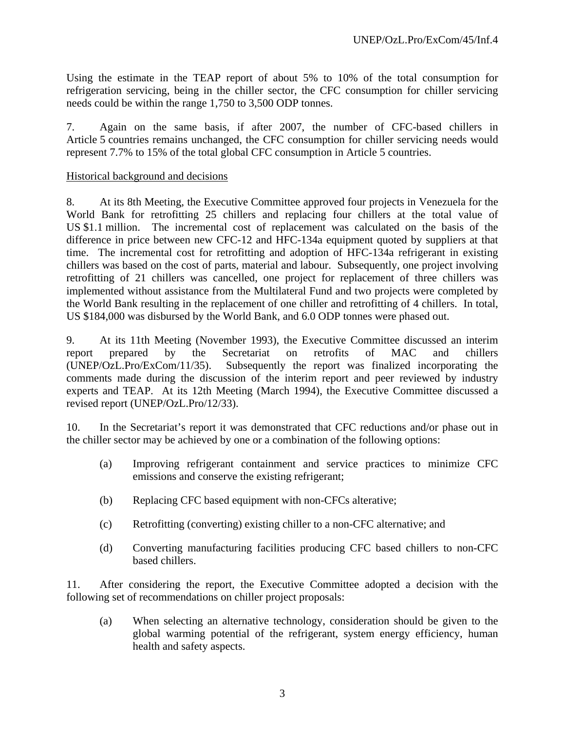Using the estimate in the TEAP report of about 5% to 10% of the total consumption for refrigeration servicing, being in the chiller sector, the CFC consumption for chiller servicing needs could be within the range 1,750 to 3,500 ODP tonnes.

7. Again on the same basis, if after 2007, the number of CFC-based chillers in Article 5 countries remains unchanged, the CFC consumption for chiller servicing needs would represent 7.7% to 15% of the total global CFC consumption in Article 5 countries.

# Historical background and decisions

8. At its 8th Meeting, the Executive Committee approved four projects in Venezuela for the World Bank for retrofitting 25 chillers and replacing four chillers at the total value of US \$1.1 million. The incremental cost of replacement was calculated on the basis of the difference in price between new CFC-12 and HFC-134a equipment quoted by suppliers at that time. The incremental cost for retrofitting and adoption of HFC-134a refrigerant in existing chillers was based on the cost of parts, material and labour. Subsequently, one project involving retrofitting of 21 chillers was cancelled, one project for replacement of three chillers was implemented without assistance from the Multilateral Fund and two projects were completed by the World Bank resulting in the replacement of one chiller and retrofitting of 4 chillers. In total, US \$184,000 was disbursed by the World Bank, and 6.0 ODP tonnes were phased out.

9. At its 11th Meeting (November 1993), the Executive Committee discussed an interim report prepared by the Secretariat on retrofits of MAC and chillers (UNEP/OzL.Pro/ExCom/11/35). Subsequently the report was finalized incorporating the comments made during the discussion of the interim report and peer reviewed by industry experts and TEAP. At its 12th Meeting (March 1994), the Executive Committee discussed a revised report (UNEP/OzL.Pro/12/33).

10. In the Secretariat's report it was demonstrated that CFC reductions and/or phase out in the chiller sector may be achieved by one or a combination of the following options:

- (a) Improving refrigerant containment and service practices to minimize CFC emissions and conserve the existing refrigerant;
- (b) Replacing CFC based equipment with non-CFCs alterative;
- (c) Retrofitting (converting) existing chiller to a non-CFC alternative; and
- (d) Converting manufacturing facilities producing CFC based chillers to non-CFC based chillers.

11. After considering the report, the Executive Committee adopted a decision with the following set of recommendations on chiller project proposals:

(a) When selecting an alternative technology, consideration should be given to the global warming potential of the refrigerant, system energy efficiency, human health and safety aspects.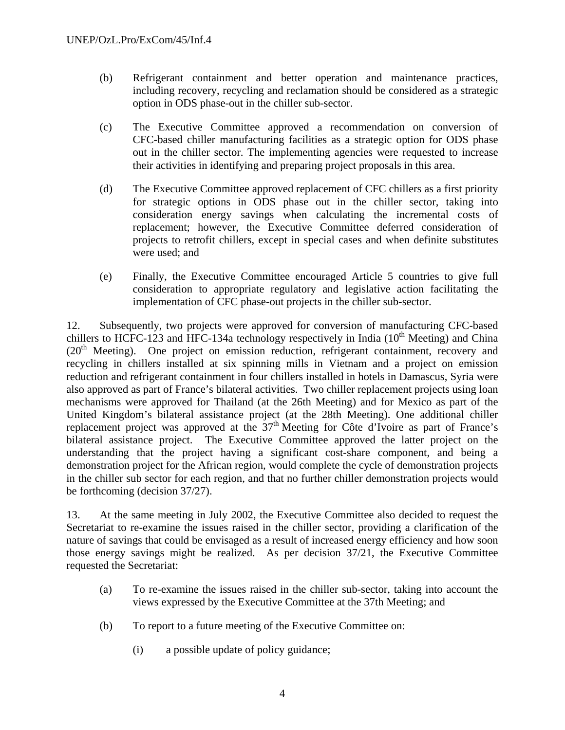- (b) Refrigerant containment and better operation and maintenance practices, including recovery, recycling and reclamation should be considered as a strategic option in ODS phase-out in the chiller sub-sector.
- (c) The Executive Committee approved a recommendation on conversion of CFC-based chiller manufacturing facilities as a strategic option for ODS phase out in the chiller sector. The implementing agencies were requested to increase their activities in identifying and preparing project proposals in this area.
- (d) The Executive Committee approved replacement of CFC chillers as a first priority for strategic options in ODS phase out in the chiller sector, taking into consideration energy savings when calculating the incremental costs of replacement; however, the Executive Committee deferred consideration of projects to retrofit chillers, except in special cases and when definite substitutes were used; and
- (e) Finally, the Executive Committee encouraged Article 5 countries to give full consideration to appropriate regulatory and legislative action facilitating the implementation of CFC phase-out projects in the chiller sub-sector.

12. Subsequently, two projects were approved for conversion of manufacturing CFC-based chillers to HCFC-123 and HFC-134a technology respectively in India  $(10<sup>th</sup> Meeting)$  and China  $(20<sup>th</sup> Meeting)$ . One project on emission reduction, refrigerant containment, recovery and recycling in chillers installed at six spinning mills in Vietnam and a project on emission reduction and refrigerant containment in four chillers installed in hotels in Damascus, Syria were also approved as part of France's bilateral activities. Two chiller replacement projects using loan mechanisms were approved for Thailand (at the 26th Meeting) and for Mexico as part of the United Kingdom's bilateral assistance project (at the 28th Meeting). One additional chiller replacement project was approved at the  $37<sup>th</sup>$  Meeting for Côte d'Ivoire as part of France's bilateral assistance project. The Executive Committee approved the latter project on the understanding that the project having a significant cost-share component, and being a demonstration project for the African region, would complete the cycle of demonstration projects in the chiller sub sector for each region, and that no further chiller demonstration projects would be forthcoming (decision 37/27).

13. At the same meeting in July 2002, the Executive Committee also decided to request the Secretariat to re-examine the issues raised in the chiller sector, providing a clarification of the nature of savings that could be envisaged as a result of increased energy efficiency and how soon those energy savings might be realized. As per decision 37/21, the Executive Committee requested the Secretariat:

- (a) To re-examine the issues raised in the chiller sub-sector, taking into account the views expressed by the Executive Committee at the 37th Meeting; and
- (b) To report to a future meeting of the Executive Committee on:
	- (i) a possible update of policy guidance;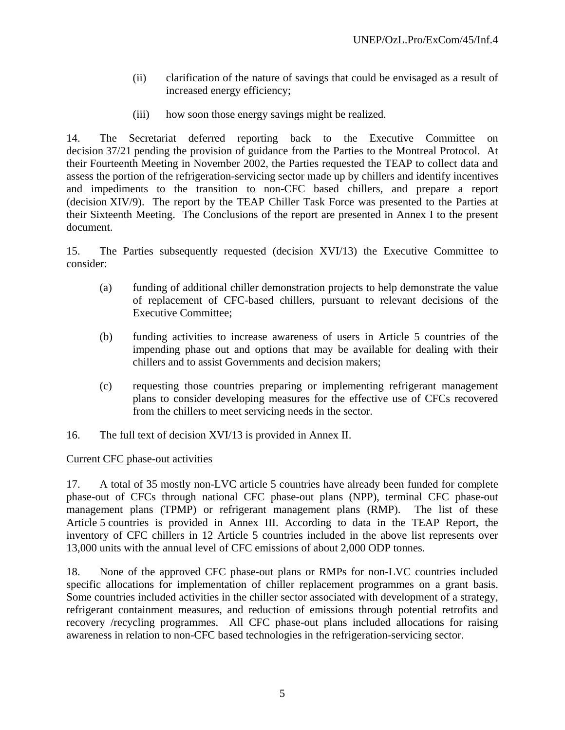- (ii) clarification of the nature of savings that could be envisaged as a result of increased energy efficiency;
- (iii) how soon those energy savings might be realized.

14. The Secretariat deferred reporting back to the Executive Committee on decision 37/21 pending the provision of guidance from the Parties to the Montreal Protocol. At their Fourteenth Meeting in November 2002, the Parties requested the TEAP to collect data and assess the portion of the refrigeration-servicing sector made up by chillers and identify incentives and impediments to the transition to non-CFC based chillers, and prepare a report (decision XIV/9). The report by the TEAP Chiller Task Force was presented to the Parties at their Sixteenth Meeting. The Conclusions of the report are presented in Annex I to the present document.

15. The Parties subsequently requested (decision XVI/13) the Executive Committee to consider:

- (a) funding of additional chiller demonstration projects to help demonstrate the value of replacement of CFC-based chillers, pursuant to relevant decisions of the Executive Committee;
- (b) funding activities to increase awareness of users in Article 5 countries of the impending phase out and options that may be available for dealing with their chillers and to assist Governments and decision makers;
- (c) requesting those countries preparing or implementing refrigerant management plans to consider developing measures for the effective use of CFCs recovered from the chillers to meet servicing needs in the sector.
- 16. The full text of decision XVI/13 is provided in Annex II.

# Current CFC phase-out activities

17. A total of 35 mostly non-LVC article 5 countries have already been funded for complete phase-out of CFCs through national CFC phase-out plans (NPP), terminal CFC phase-out management plans (TPMP) or refrigerant management plans (RMP). The list of these Article 5 countries is provided in Annex III. According to data in the TEAP Report, the inventory of CFC chillers in 12 Article 5 countries included in the above list represents over 13,000 units with the annual level of CFC emissions of about 2,000 ODP tonnes.

18. None of the approved CFC phase-out plans or RMPs for non-LVC countries included specific allocations for implementation of chiller replacement programmes on a grant basis. Some countries included activities in the chiller sector associated with development of a strategy, refrigerant containment measures, and reduction of emissions through potential retrofits and recovery /recycling programmes. All CFC phase-out plans included allocations for raising awareness in relation to non-CFC based technologies in the refrigeration-servicing sector.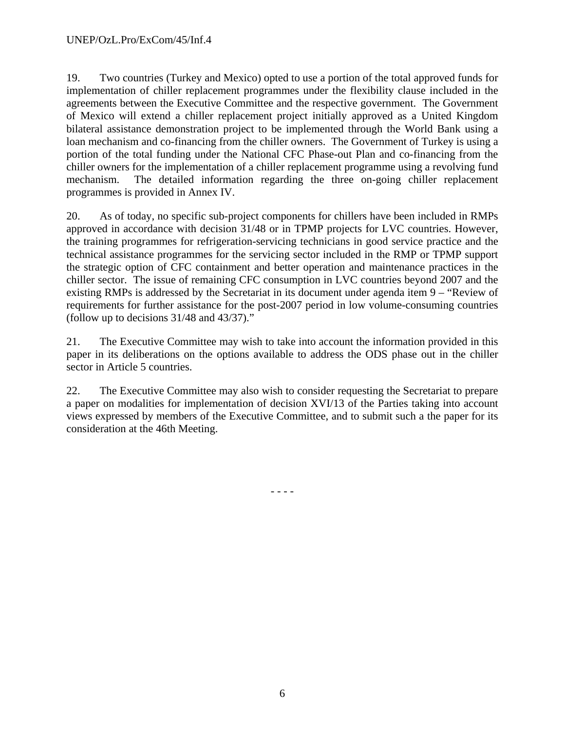19. Two countries (Turkey and Mexico) opted to use a portion of the total approved funds for implementation of chiller replacement programmes under the flexibility clause included in the agreements between the Executive Committee and the respective government. The Government of Mexico will extend a chiller replacement project initially approved as a United Kingdom bilateral assistance demonstration project to be implemented through the World Bank using a loan mechanism and co-financing from the chiller owners. The Government of Turkey is using a portion of the total funding under the National CFC Phase-out Plan and co-financing from the chiller owners for the implementation of a chiller replacement programme using a revolving fund mechanism. The detailed information regarding the three on-going chiller replacement programmes is provided in Annex IV.

20. As of today, no specific sub-project components for chillers have been included in RMPs approved in accordance with decision 31/48 or in TPMP projects for LVC countries. However, the training programmes for refrigeration-servicing technicians in good service practice and the technical assistance programmes for the servicing sector included in the RMP or TPMP support the strategic option of CFC containment and better operation and maintenance practices in the chiller sector. The issue of remaining CFC consumption in LVC countries beyond 2007 and the existing RMPs is addressed by the Secretariat in its document under agenda item 9 – "Review of requirements for further assistance for the post-2007 period in low volume-consuming countries (follow up to decisions 31/48 and 43/37)."

21. The Executive Committee may wish to take into account the information provided in this paper in its deliberations on the options available to address the ODS phase out in the chiller sector in Article 5 countries.

22. The Executive Committee may also wish to consider requesting the Secretariat to prepare a paper on modalities for implementation of decision XVI/13 of the Parties taking into account views expressed by members of the Executive Committee, and to submit such a the paper for its consideration at the 46th Meeting.

- - - -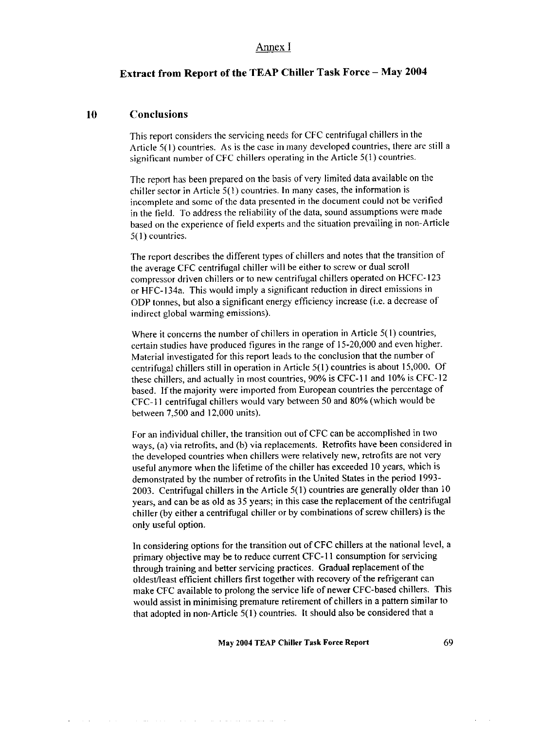### Annex I

# Extract from Report of the TEAP Chiller Task Force - May 2004

#### 10 **Conclusions**

This report considers the servicing needs for CFC centrifugal chillers in the Article 5(1) countries. As is the case in many developed countries, there are still a significant number of CFC chillers operating in the Article 5(1) countries.

The report has been prepared on the basis of very limited data available on the chiller sector in Article 5(1) countries. In many cases, the information is incomplete and some of the data presented in the document could not be verified in the field. To address the reliability of the data, sound assumptions were made based on the experience of field experts and the situation prevailing in non-Article  $5(1)$  countries.

The report describes the different types of chillers and notes that the transition of the average CFC centrifugal chiller will be either to screw or dual scroll compressor driven chillers or to new centrifugal chillers operated on HCFC-123 or HFC-134a. This would imply a significant reduction in direct emissions in ODP tonnes, but also a significant energy efficiency increase (i.e. a decrease of indirect global warming emissions).

Where it concerns the number of chillers in operation in Article 5(1) countries, certain studies have produced figures in the range of 15-20,000 and even higher. Material investigated for this report leads to the conclusion that the number of centrifugal chillers still in operation in Article 5(1) countries is about 15,000. Of these chillers, and actually in most countries, 90% is CFC-11 and 10% is CFC-12 based. If the majority were imported from European countries the percentage of CFC-11 centrifugal chillers would vary between 50 and 80% (which would be between 7,500 and 12,000 units).

For an individual chiller, the transition out of CFC can be accomplished in two ways, (a) via retrofits, and (b) via replacements. Retrofits have been considered in the developed countries when chillers were relatively new, retrofits are not very useful anymore when the lifetime of the chiller has exceeded 10 years, which is demonstrated by the number of retrofits in the United States in the period 1993-2003. Centrifugal chillers in the Article 5(1) countries are generally older than 10 years, and can be as old as 35 years; in this case the replacement of the centrifugal chiller (by either a centrifugal chiller or by combinations of screw chillers) is the only useful option.

In considering options for the transition out of CFC chillers at the national level, a primary objective may be to reduce current CFC-11 consumption for servicing through training and better servicing practices. Gradual replacement of the oldest/least efficient chillers first together with recovery of the refrigerant can make CFC available to prolong the service life of newer CFC-based chillers. This would assist in minimising premature retirement of chillers in a pattern similar to that adopted in non-Article  $5(1)$  countries. It should also be considered that a

#### May 2004 TEAP Chiller Task Force Report

است سیس است. سماع شاعر می باشد از جای باشد از باشد و این شاعر باشد این این باشد این

÷.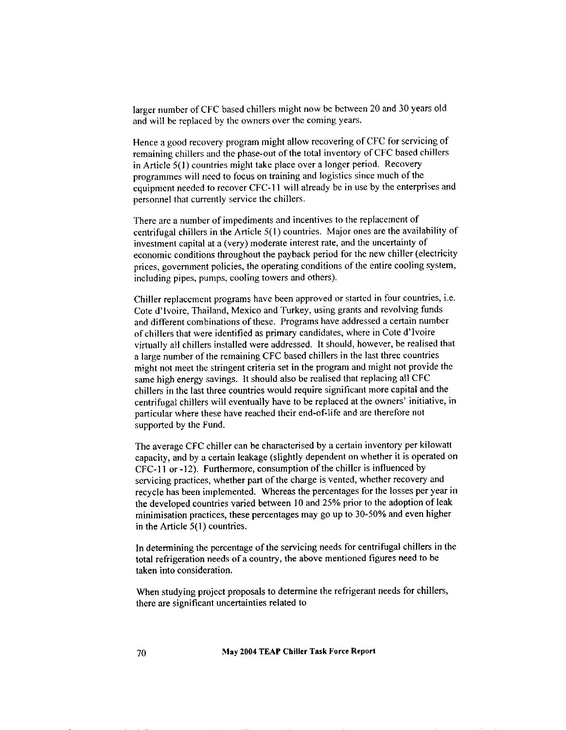larger number of CFC based chillers might now be between 20 and 30 years old and will be replaced by the owners over the coming years.

Hence a good recovery program might allow recovering of CFC for servicing of remaining chillers and the phase-out of the total inventory of CFC based chillers in Article 5(1) countries might take place over a longer period. Recovery programmes will need to focus on training and logistics since much of the equipment needed to recover CFC-11 will already be in use by the enterprises and personnel that currently service the chillers.

There are a number of impediments and incentives to the replacement of centrifugal chillers in the Article 5(1) countries. Major ones are the availability of investment capital at a (very) moderate interest rate, and the uncertainty of economic conditions throughout the payback period for the new chiller (electricity prices, government policies, the operating conditions of the entire cooling system, including pipes, pumps, cooling towers and others).

Chiller replacement programs have been approved or started in four countries, i.e. Cote d'Ivoire, Thailand, Mexico and Turkey, using grants and revolving funds and different combinations of these. Programs have addressed a certain number of chillers that were identified as primary candidates, where in Cote d'Ivoire virtually all chillers installed were addressed. It should, however, be realised that a large number of the remaining CFC based chillers in the last three countries might not meet the stringent criteria set in the program and might not provide the same high energy savings. It should also be realised that replacing all CFC chillers in the last three countries would require significant more capital and the centrifugal chillers will eventually have to be replaced at the owners' initiative, in particular where these have reached their end-of-life and are therefore not supported by the Fund.

The average CFC chiller can be characterised by a certain inventory per kilowatt capacity, and by a certain leakage (slightly dependent on whether it is operated on CFC-11 or -12). Furthermore, consumption of the chiller is influenced by servicing practices, whether part of the charge is vented, whether recovery and recycle has been implemented. Whereas the percentages for the losses per year in the developed countries varied between 10 and 25% prior to the adoption of leak minimisation practices, these percentages may go up to 30-50% and even higher in the Article  $5(1)$  countries.

In determining the percentage of the servicing needs for centrifugal chillers in the total refrigeration needs of a country, the above mentioned figures need to be taken into consideration.

When studying project proposals to determine the refrigerant needs for chillers, there are significant uncertainties related to

May 2004 TEAP Chiller Task Force Report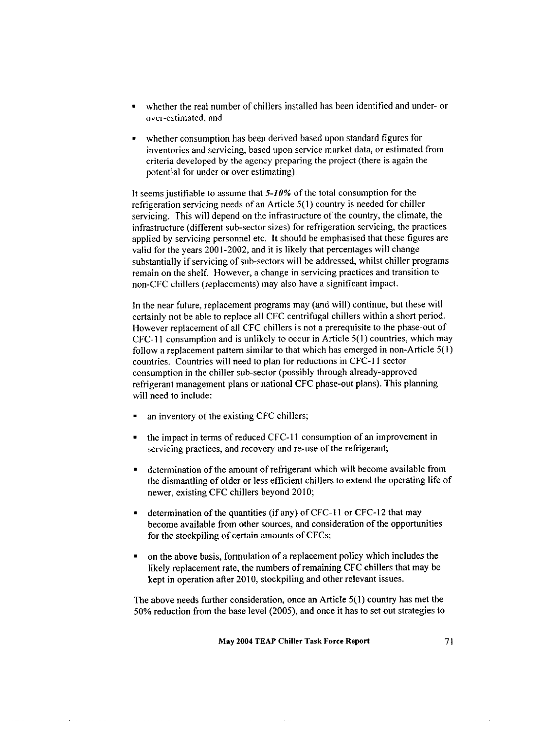- whether the real number of chillers installed has been identified and under- or over-estimated, and
- whether consumption has been derived based upon standard figures for inventories and servicing, based upon service market data, or estimated from criteria developed by the agency preparing the project (there is again the potential for under or over estimating).

It seems justifiable to assume that  $5-10\%$  of the total consumption for the refrigeration servicing needs of an Article 5(1) country is needed for chiller servicing. This will depend on the infrastructure of the country, the climate, the infrastructure (different sub-sector sizes) for refrigeration servicing, the practices applied by servicing personnel etc. It should be emphasised that these figures are valid for the years 2001-2002, and it is likely that percentages will change substantially if servicing of sub-sectors will be addressed, whilst chiller programs remain on the shelf. However, a change in servicing practices and transition to non-CFC chillers (replacements) may also have a significant impact.

In the near future, replacement programs may (and will) continue, but these will certainly not be able to replace all CFC centrifugal chillers within a short period. However replacement of all CFC chillers is not a prerequisite to the phase-out of CFC-11 consumption and is unlikely to occur in Article 5(1) countries, which may follow a replacement pattern similar to that which has emerged in non-Article 5(1) countries. Countries will need to plan for reductions in CFC-11 sector consumption in the chiller sub-sector (possibly through already-approved refrigerant management plans or national CFC phase-out plans). This planning will need to include:

an inventory of the existing CFC chillers;

이 사이 <u>이 사이에서 사이</u> 사이에 있어요.

- the impact in terms of reduced CFC-11 consumption of an improvement in servicing practices, and recovery and re-use of the refrigerant;
- determination of the amount of refrigerant which will become available from the dismantling of older or less efficient chillers to extend the operating life of newer, existing CFC chillers beyond 2010;
- determination of the quantities (if any) of CFC-11 or CFC-12 that may become available from other sources, and consideration of the opportunities for the stockpiling of certain amounts of CFCs;
- on the above basis, formulation of a replacement policy which includes the likely replacement rate, the numbers of remaining CFC chillers that may be kept in operation after 2010, stockpiling and other relevant issues.

The above needs further consideration, once an Article  $5(1)$  country has met the 50% reduction from the base level (2005), and once it has to set out strategies to

71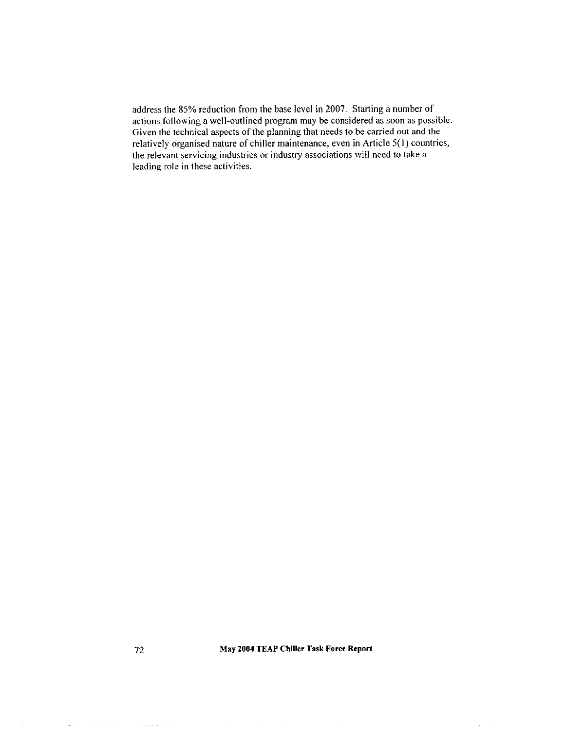address the 85% reduction from the base level in 2007. Starting a number of actions following a well-outlined program may be considered as soon as possible. Given the technical aspects of the planning that needs to be carried out and the relatively organised nature of chiller maintenance, even in Article 5(1) countries, the relevant servicing industries or industry associations will need to take a leading role in these activities.

 $\mathcal{L}$  $\mathcal{A}$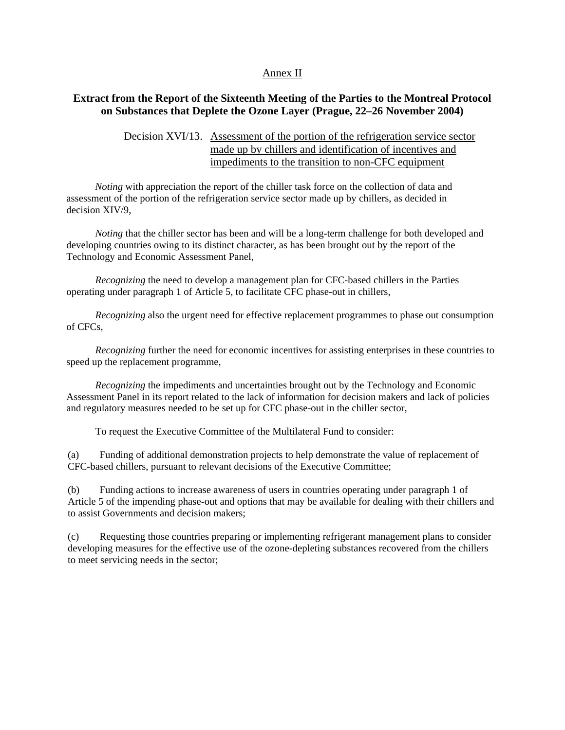### Annex II

# **Extract from the Report of the Sixteenth Meeting of the Parties to the Montreal Protocol on Substances that Deplete the Ozone Layer (Prague, 22–26 November 2004)**

### Decision XVI/13. Assessment of the portion of the refrigeration service sector made up by chillers and identification of incentives and impediments to the transition to non-CFC equipment

*Noting* with appreciation the report of the chiller task force on the collection of data and assessment of the portion of the refrigeration service sector made up by chillers, as decided in decision XIV/9,

*Noting* that the chiller sector has been and will be a long-term challenge for both developed and developing countries owing to its distinct character, as has been brought out by the report of the Technology and Economic Assessment Panel,

*Recognizing* the need to develop a management plan for CFC-based chillers in the Parties operating under paragraph 1 of Article 5, to facilitate CFC phase-out in chillers,

*Recognizing* also the urgent need for effective replacement programmes to phase out consumption of CFCs,

*Recognizing* further the need for economic incentives for assisting enterprises in these countries to speed up the replacement programme,

*Recognizing* the impediments and uncertainties brought out by the Technology and Economic Assessment Panel in its report related to the lack of information for decision makers and lack of policies and regulatory measures needed to be set up for CFC phase-out in the chiller sector,

To request the Executive Committee of the Multilateral Fund to consider:

(a) Funding of additional demonstration projects to help demonstrate the value of replacement of CFC-based chillers, pursuant to relevant decisions of the Executive Committee;

(b) Funding actions to increase awareness of users in countries operating under paragraph 1 of Article 5 of the impending phase-out and options that may be available for dealing with their chillers and to assist Governments and decision makers;

(c) Requesting those countries preparing or implementing refrigerant management plans to consider developing measures for the effective use of the ozone-depleting substances recovered from the chillers to meet servicing needs in the sector;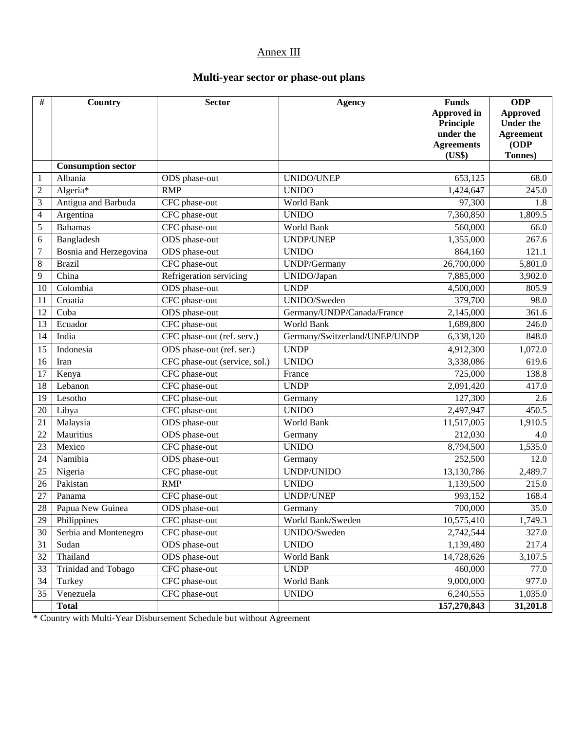# Annex III

# **Multi-year sector or phase-out plans**

| #                | Country                   | <b>Sector</b>                 | <b>Agency</b>                 | <b>Funds</b><br><b>Approved in</b><br>Principle<br>under the<br><b>Agreements</b><br>(US\$) | <b>ODP</b><br><b>Approved</b><br><b>Under the</b><br><b>Agreement</b><br>ODP<br>Tonnes) |
|------------------|---------------------------|-------------------------------|-------------------------------|---------------------------------------------------------------------------------------------|-----------------------------------------------------------------------------------------|
|                  | <b>Consumption sector</b> |                               |                               |                                                                                             |                                                                                         |
| 1                | Albania                   | ODS phase-out                 | UNIDO/UNEP                    | 653,125                                                                                     | 68.0                                                                                    |
| $\overline{2}$   | Algeria*                  | <b>RMP</b>                    | <b>UNIDO</b>                  | 1,424,647                                                                                   | 245.0                                                                                   |
| 3                | Antigua and Barbuda       | CFC phase-out                 | World Bank                    | 97,300                                                                                      | 1.8                                                                                     |
| 4                | Argentina                 | CFC phase-out                 | <b>UNIDO</b>                  | 7,360,850                                                                                   | 1,809.5                                                                                 |
| 5                | <b>Bahamas</b>            | CFC phase-out                 | World Bank                    | 560,000                                                                                     | 66.0                                                                                    |
| 6                | Bangladesh                | ODS phase-out                 | <b>UNDP/UNEP</b>              | 1,355,000                                                                                   | 267.6                                                                                   |
| $\boldsymbol{7}$ | Bosnia and Herzegovina    | ODS phase-out                 | <b>UNIDO</b>                  | 864,160                                                                                     | 121.1                                                                                   |
| 8                | <b>Brazil</b>             | CFC phase-out                 | UNDP/Germany                  | 26,700,000                                                                                  | 5,801.0                                                                                 |
| 9                | China                     | Refrigeration servicing       | UNIDO/Japan                   | 7,885,000                                                                                   | 3,902.0                                                                                 |
| 10               | Colombia                  | ODS phase-out                 | <b>UNDP</b>                   | 4,500,000                                                                                   | 805.9                                                                                   |
| 11               | Croatia                   | CFC phase-out                 | UNIDO/Sweden                  | 379,700                                                                                     | 98.0                                                                                    |
| 12               | Cuba                      | ODS phase-out                 | Germany/UNDP/Canada/France    | 2,145,000                                                                                   | 361.6                                                                                   |
| 13               | Ecuador                   | CFC phase-out                 | World Bank                    | 1,689,800                                                                                   | 246.0                                                                                   |
| 14               | India                     | CFC phase-out (ref. serv.)    | Germany/Switzerland/UNEP/UNDP | 6,338,120                                                                                   | 848.0                                                                                   |
| 15               | Indonesia                 | ODS phase-out (ref. ser.)     | <b>UNDP</b>                   | 4,912,300                                                                                   | 1,072.0                                                                                 |
| 16               | Iran                      | CFC phase-out (service, sol.) | <b>UNIDO</b>                  | 3,338,086                                                                                   | 619.6                                                                                   |
| 17               | Kenya                     | CFC phase-out                 | France                        | 725,000                                                                                     | 138.8                                                                                   |
| 18               | Lebanon                   | CFC phase-out                 | <b>UNDP</b>                   | 2,091,420                                                                                   | 417.0                                                                                   |
| 19               | Lesotho                   | CFC phase-out                 | Germany                       | 127,300                                                                                     | 2.6                                                                                     |
| 20               | Libya                     | CFC phase-out                 | <b>UNIDO</b>                  | 2,497,947                                                                                   | 450.5                                                                                   |
| 21               | Malaysia                  | ODS phase-out                 | World Bank                    | 11,517,005                                                                                  | 1,910.5                                                                                 |
| 22               | Mauritius                 | ODS phase-out                 | Germany                       | 212,030                                                                                     | 4.0                                                                                     |
| 23               | Mexico                    | CFC phase-out                 | <b>UNIDO</b>                  | 8,794,500                                                                                   | 1,535.0                                                                                 |
| 24               | Namibia                   | ODS phase-out                 | Germany                       | 252,500                                                                                     | 12.0                                                                                    |
| 25               | Nigeria                   | CFC phase-out                 | UNDP/UNIDO                    | 13,130,786                                                                                  | 2,489.7                                                                                 |
| 26               | Pakistan                  | <b>RMP</b>                    | <b>UNIDO</b>                  | 1,139,500                                                                                   | 215.0                                                                                   |
| 27               | Panama                    | CFC phase-out                 | UNDP/UNEP                     | 993,152                                                                                     | 168.4                                                                                   |
| $\overline{28}$  | Papua New Guinea          | ODS phase-out                 | Germany                       | 700,000                                                                                     | 35.0                                                                                    |
| 29               | Philippines               | CFC phase-out                 | World Bank/Sweden             | 10,575,410                                                                                  | 1,749.3                                                                                 |
| 30               | Serbia and Montenegro     | CFC phase-out                 | UNIDO/Sweden                  | 2,742,544                                                                                   | 327.0                                                                                   |
| 31               | Sudan                     | ODS phase-out                 | <b>UNIDO</b>                  | 1,139,480                                                                                   | 217.4                                                                                   |
| 32               | Thailand                  | ODS phase-out                 | World Bank                    | 14,728,626                                                                                  | 3,107.5                                                                                 |
| 33               | Trinidad and Tobago       | CFC phase-out                 | <b>UNDP</b>                   | 460,000                                                                                     | 77.0                                                                                    |
| 34               | Turkey                    | CFC phase-out                 | World Bank                    | 9,000,000                                                                                   | 977.0                                                                                   |
| 35               | Venezuela                 | CFC phase-out                 | <b>UNIDO</b>                  | 6,240,555                                                                                   | 1,035.0                                                                                 |
|                  | <b>Total</b>              |                               |                               | 157,270,843                                                                                 | 31,201.8                                                                                |

\* Country with Multi-Year Disbursement Schedule but without Agreement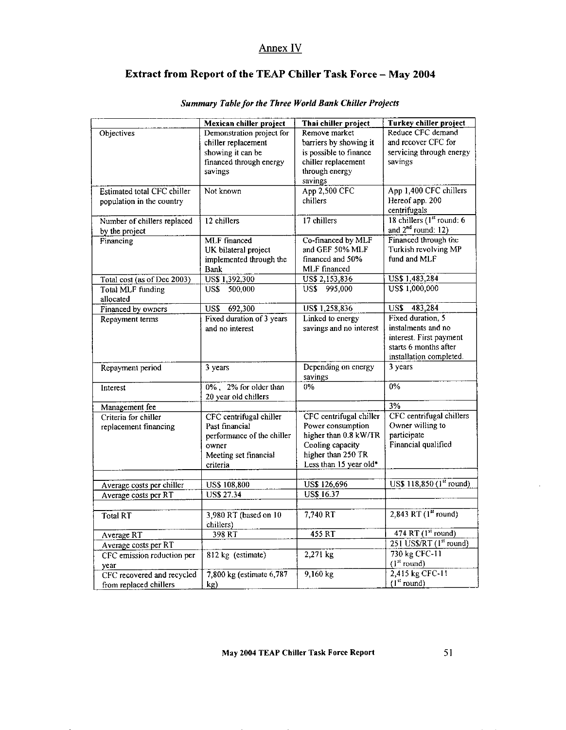# Annex IV

# Extract from Report of the TEAP Chiller Task Force - May 2004

|                             | Mexican chiller project           | Thai chiller project                      | Turkey chiller project          |  |
|-----------------------------|-----------------------------------|-------------------------------------------|---------------------------------|--|
| <b>Objectives</b>           | Demonstration project for         | Remove market                             | Reduce CFC demand               |  |
|                             | chiller replacement               | barriers by showing it                    | and recover CFC for             |  |
|                             | showing it can be                 | is possible to finance                    | servicing through energy        |  |
|                             | financed through energy           | chiller replacement                       | savings                         |  |
|                             | savings                           | through energy                            |                                 |  |
|                             |                                   | savings                                   |                                 |  |
| Estimated total CFC chiller | Not known                         | App 2,500 CFC                             | App 1,400 CFC chillers          |  |
| population in the country   |                                   | chillers                                  | Hereof app. 200<br>centrifugals |  |
| Number of chillers replaced | 12 chillers                       | 17 chillers                               | 18 chillers $(1st$ round: 6     |  |
| by the project              |                                   |                                           | and $2^{nd}$ round: 12)         |  |
| Financing                   | <b>MLF</b> financed               | Co-financed by MLF                        | Financed through the            |  |
|                             | UK bilateral project              | and GEF 50% MLF                           | Turkish revolving MP            |  |
|                             | implemented through the           | financed and 50%                          | fund and MLF                    |  |
|                             | <b>Bank</b>                       | MLF financed                              |                                 |  |
| Total cost (as of Dec 2003) | US\$ 1,392,300                    | US\$ 2,153,836                            | US\$ 1,483,284                  |  |
| Total MLF funding           | 500,000<br>US\$                   | US\$ 995,000                              | US\$ 1,000,000                  |  |
| allocated                   |                                   |                                           |                                 |  |
| Financed by owners          | 692,300<br>US\$                   | US\$ 1,258,836                            | 483,284<br>US\$                 |  |
| Repayment terms             | Fixed duration of 3 years         | Linked to energy                          | Fixed duration, 5               |  |
|                             | and no interest                   | savings and no interest                   | instalments and no              |  |
|                             |                                   |                                           | interest. First payment         |  |
|                             |                                   |                                           | starts 6 months after           |  |
|                             |                                   |                                           | installation completed.         |  |
| Repayment period            | 3 years                           | Depending on energy                       | 3 years                         |  |
|                             |                                   | savings                                   |                                 |  |
| Interest                    | 0%, 2% for older than             | $0\%$                                     | $0\%$                           |  |
|                             | 20 year old chillers              |                                           | 3%                              |  |
| Management fee              |                                   |                                           |                                 |  |
| Criteria for chiller        | CFC centrifugal chiller           | CFC centrifugal chiller                   | CFC centrifugal chillers        |  |
| replacement financing       | Past financial                    | Power consumption                         | Owner willing to<br>participate |  |
|                             | performance of the chiller        | higher than 0.8 kW/TR<br>Cooling capacity | Financial qualified             |  |
|                             | owner                             | higher than 250 TR                        |                                 |  |
|                             | Meeting set financial<br>criteria | Less than 15 year old*                    |                                 |  |
|                             |                                   |                                           |                                 |  |
| Average costs per chiller   | <b>US\$ 108,800</b>               | <b>US\$ 126,696</b>                       | US\$ 118,850 (1st round)        |  |
| Average costs per RT        | <b>US\$ 27.34</b>                 | <b>US\$ 16.37</b>                         |                                 |  |
|                             |                                   |                                           |                                 |  |
| Total RT                    | 3,980 RT (based on 10             | $7,740$ RT                                | $2,843$ RT $(1st$ round)        |  |
|                             | chillers)                         |                                           |                                 |  |
| Average RT                  | 398 RT                            | 455 RT                                    | 474 RT (1 <sup>st</sup> round)  |  |
| Average costs per RT        |                                   |                                           | $251$ US\$/RT ( $1st$ round)    |  |
| CFC emission reduction per  | 812 kg (estimate)                 | 2,271 kg                                  | 730 kg CFC-11                   |  |
| year                        |                                   |                                           | (l <sup>st</sup> round)         |  |
| CFC recovered and recycled  | 7,800 kg (estimate 6,787)         | $9,160$ kg                                | 2,415 kg CFC-11                 |  |
| from replaced chillers      | kg)                               |                                           | $(1st$ round)                   |  |

# Summary Table for the Three World Bank Chiller Projects

May 2004 TEAP Chiller Task Force Report